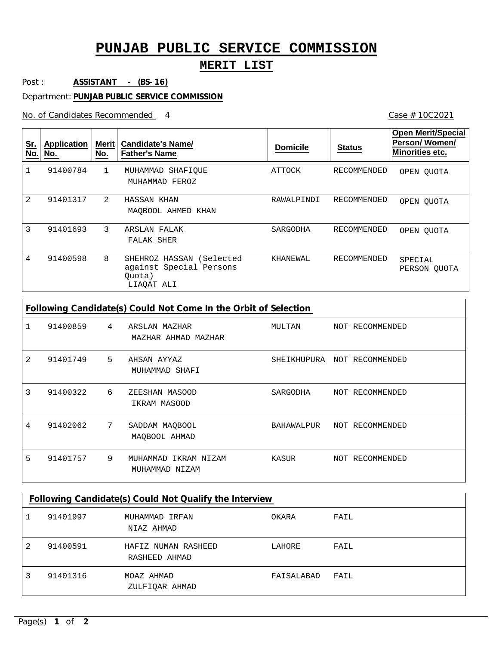## **PUNJAB PUBLIC SERVICE COMMISSION**

## **MERIT LIST**

Post : **ASSISTANT - (BS-16)**

Department: **PUNJAB PUBLIC SERVICE COMMISSION**

No. of Candidates Recommended

Case # 10C2021

| <u>Sr.</u><br>No. | Application<br>No. | Merit<br>No.  | <b>Candidate's Name/</b><br><b>Father's Name</b>                            | <b>Domicile</b> | <b>Status</b> | <b>Open Merit/Special</b><br>Person/Women/<br>Minorities etc. |
|-------------------|--------------------|---------------|-----------------------------------------------------------------------------|-----------------|---------------|---------------------------------------------------------------|
|                   | 91400784           | 1             | MUHAMMAD<br>SHAFIOUE<br>MUHAMMAD FEROZ                                      | ATTOCK          | RECOMMENDED   | OPEN OUOTA                                                    |
| $\overline{2}$    | 91401317           | $\mathcal{L}$ | HASSAN KHAN<br>MAOBOOL AHMED KHAN                                           | RAWALPINDI      | RECOMMENDED   | OPEN OUOTA                                                    |
| 3                 | 91401693           | 3             | ARSLAN FALAK<br>FALAK SHER                                                  | SARGODHA        | RECOMMENDED   | OPEN OUOTA                                                    |
| 4                 | 91400598           | 8             | SHEHROZ HASSAN (Selected<br>against Special Persons<br>Quota)<br>LIAQAT ALI | KHANEWAL        | RECOMMENDED   | SPECIAL<br>PERSON OUOTA                                       |

| Following Candidate(s) Could Not Come In the Orbit of Selection |          |   |                                           |             |  |                 |
|-----------------------------------------------------------------|----------|---|-------------------------------------------|-------------|--|-----------------|
|                                                                 | 91400859 | 4 | ARSLAN MAZHAR<br>MAZHAR AHMAD MAZHAR      | MULTAN      |  | NOT RECOMMENDED |
| 2                                                               | 91401749 | 5 | AHSAN AYYAZ<br>MUHAMMAD SHAFI             | SHEIKHUPURA |  | NOT RECOMMENDED |
| 3                                                               | 91400322 | 6 | ZEESHAN MASOOD<br>IKRAM MASOOD            | SARGODHA    |  | NOT RECOMMENDED |
| 4                                                               | 91402062 | 7 | SADDAM MAQBOOL<br>MAOBOOL AHMAD           | BAHAWALPUR  |  | NOT RECOMMENDED |
| 5                                                               | 91401757 | 9 | IKRAM NIZAM<br>MUHAMMAD<br>MUHAMMAD NIZAM | KASUR       |  | NOT RECOMMENDED |

| Following Candidate(s) Could Not Qualify the Interview |          |                                      |            |      |  |  |
|--------------------------------------------------------|----------|--------------------------------------|------------|------|--|--|
|                                                        | 91401997 | MUHAMMAD IRFAN<br>NIAZ AHMAD         | OKARA      | FAIL |  |  |
| 2                                                      | 91400591 | HAFIZ NUMAN RASHEED<br>RASHEED AHMAD | LAHORE     | FAIL |  |  |
|                                                        | 91401316 | MOAZ AHMAD<br>ZULFIOAR AHMAD         | FAISALABAD | FAIL |  |  |